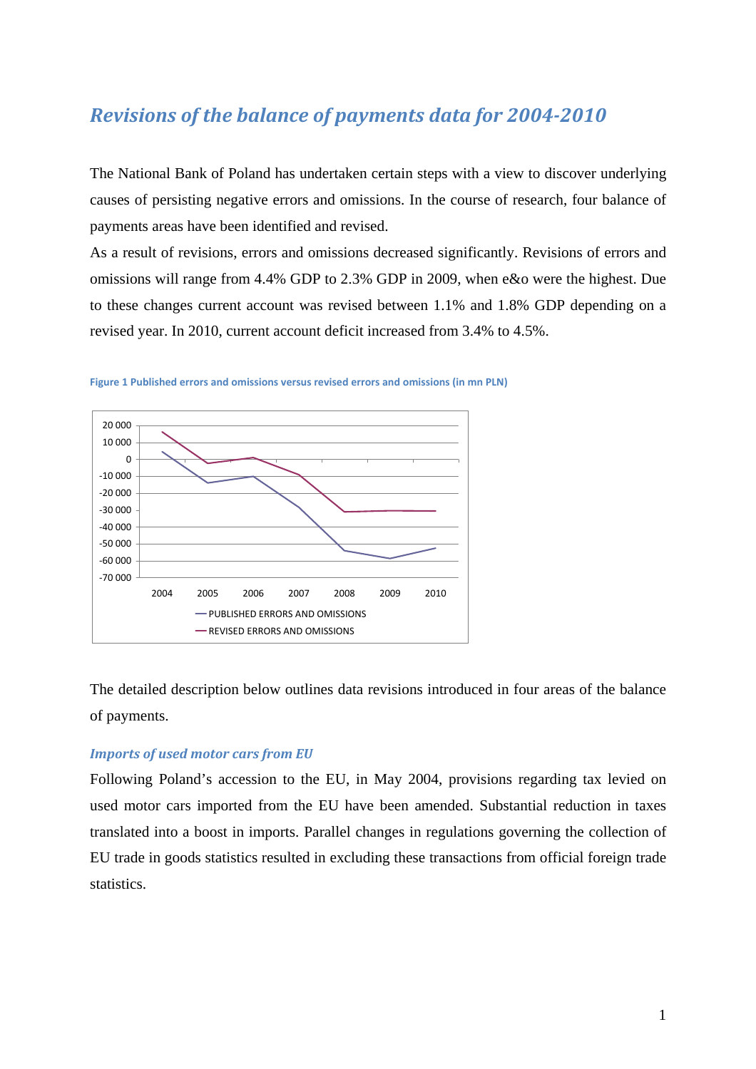# *Revisions of the balance of payments data for 20042010*

The National Bank of Poland has undertaken certain steps with a view to discover underlying causes of persisting negative errors and omissions. In the course of research, four balance of payments areas have been identified and revised.

As a result of revisions, errors and omissions decreased significantly. Revisions of errors and omissions will range from 4.4% GDP to 2.3% GDP in 2009, when e&o were the highest. Due to these changes current account was revised between 1.1% and 1.8% GDP depending on a revised year. In 2010, current account deficit increased from 3.4% to 4.5%.



**Figure 1 Published errors and omissions versus revised errors and omissions (in mn PLN)**

The detailed description below outlines data revisions introduced in four areas of the balance of payments.

### *Imports of used motor cars from EU*

Following Poland's accession to the EU, in May 2004, provisions regarding tax levied on used motor cars imported from the EU have been amended. Substantial reduction in taxes translated into a boost in imports. Parallel changes in regulations governing the collection of EU trade in goods statistics resulted in excluding these transactions from official foreign trade statistics.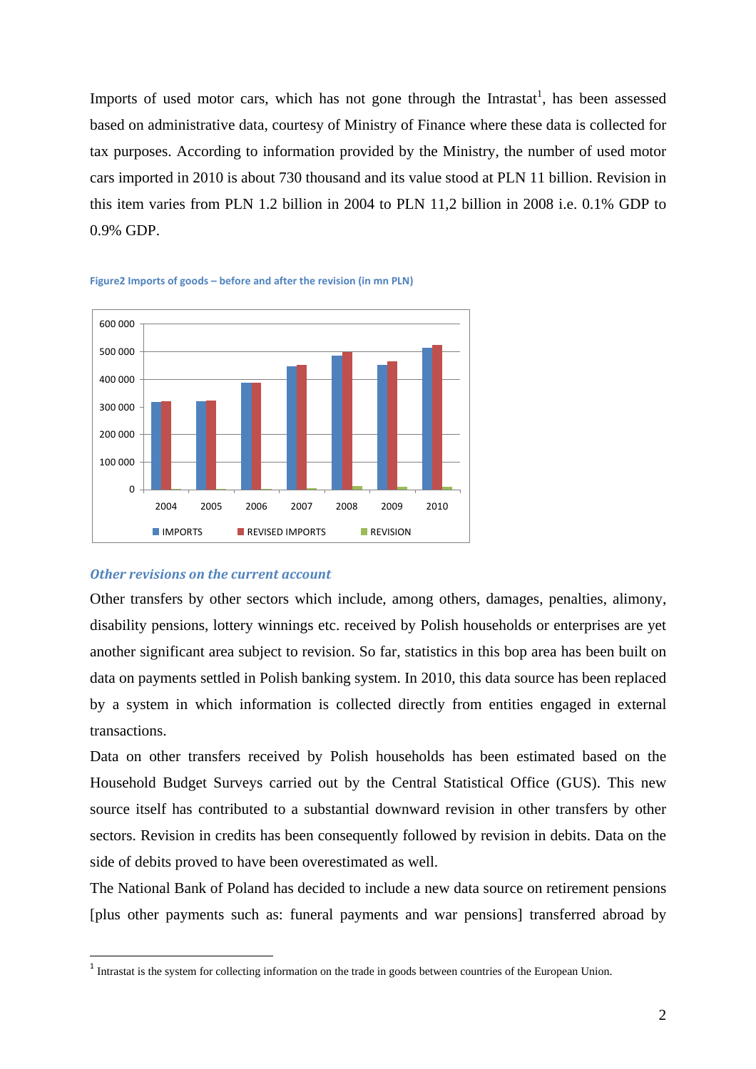Imports of used motor cars, which has not gone through the Intrastat<sup>1</sup>, has been assessed based on administrative data, courtesy of Ministry of Finance where these data is collected for tax purposes. According to information provided by the Ministry, the number of used motor cars imported in 2010 is about 730 thousand and its value stood at PLN 11 billion. Revision in this item varies from PLN 1.2 billion in 2004 to PLN 11,2 billion in 2008 i.e. 0.1% GDP to 0.9% GDP.





#### *Other revisions on the current account*

<u>.</u>

Other transfers by other sectors which include, among others, damages, penalties, alimony, disability pensions, lottery winnings etc. received by Polish households or enterprises are yet another significant area subject to revision. So far, statistics in this bop area has been built on data on payments settled in Polish banking system. In 2010, this data source has been replaced by a system in which information is collected directly from entities engaged in external transactions.

Data on other transfers received by Polish households has been estimated based on the Household Budget Surveys carried out by the Central Statistical Office (GUS). This new source itself has contributed to a substantial downward revision in other transfers by other sectors. Revision in credits has been consequently followed by revision in debits. Data on the side of debits proved to have been overestimated as well.

The National Bank of Poland has decided to include a new data source on retirement pensions [plus other payments such as: funeral payments and war pensions] transferred abroad by

<sup>&</sup>lt;sup>1</sup> Intrastat is the system for collecting information on the trade in goods between countries of the European Union.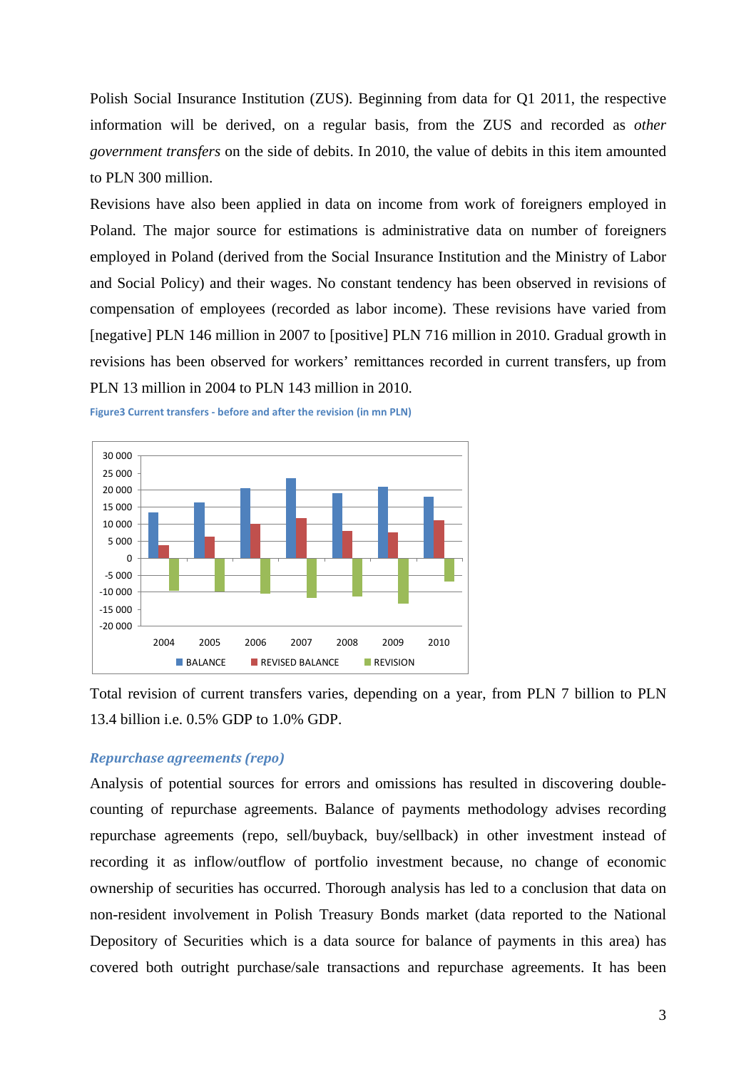Polish Social Insurance Institution (ZUS). Beginning from data for Q1 2011, the respective information will be derived, on a regular basis, from the ZUS and recorded as *other government transfers* on the side of debits. In 2010, the value of debits in this item amounted to PLN 300 million.

Revisions have also been applied in data on income from work of foreigners employed in Poland. The major source for estimations is administrative data on number of foreigners employed in Poland (derived from the Social Insurance Institution and the Ministry of Labor and Social Policy) and their wages. No constant tendency has been observed in revisions of compensation of employees (recorded as labor income). These revisions have varied from [negative] PLN 146 million in 2007 to [positive] PLN 716 million in 2010. Gradual growth in revisions has been observed for workers' remittances recorded in current transfers, up from PLN 13 million in 2004 to PLN 143 million in 2010.





Total revision of current transfers varies, depending on a year, from PLN 7 billion to PLN 13.4 billion i.e. 0.5% GDP to 1.0% GDP.

## *Repurchase agreements (repo)*

Analysis of potential sources for errors and omissions has resulted in discovering doublecounting of repurchase agreements. Balance of payments methodology advises recording repurchase agreements (repo, sell/buyback, buy/sellback) in other investment instead of recording it as inflow/outflow of portfolio investment because, no change of economic ownership of securities has occurred. Thorough analysis has led to a conclusion that data on non-resident involvement in Polish Treasury Bonds market (data reported to the National Depository of Securities which is a data source for balance of payments in this area) has covered both outright purchase/sale transactions and repurchase agreements. It has been